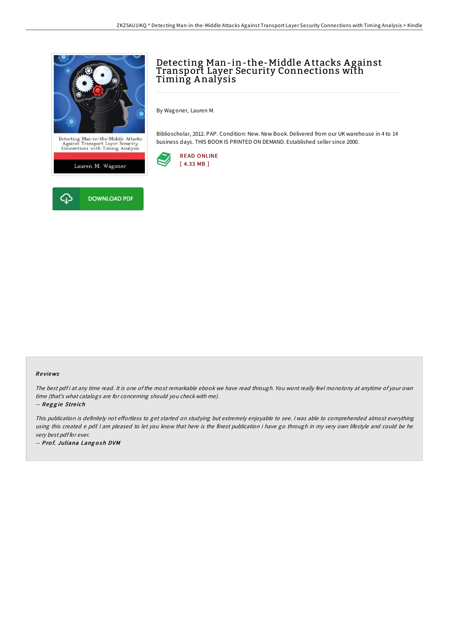

## Detecting Man-in-the-Middle A ttacks A gainst Transport Layer Security Connections with Timing A nalysis

By Wagoner, Lauren M.

Biblioscholar, 2012. PAP. Condition: New. New Book. Delivered from our UK warehouse in 4 to 14 business days. THIS BOOK IS PRINTED ON DEMAND. Established seller since 2000.



## Re views

The best pdf i at any time read. It is one of the most remarkable ebook we have read through. You wont really feel monotony at anytime of your own time (that's what catalogs are for concerning should you check with me).

-- Reggie Streich

This publication is definitely not effortless to get started on studying but extremely enjoyable to see. I was able to comprehended almost everything using this created <sup>e</sup> pdf. <sup>I</sup> am pleased to let you know that here is the finest publication i have go through in my very own lifestyle and could be he very best pdf for ever.

-- Prof. Juliana Langosh DVM